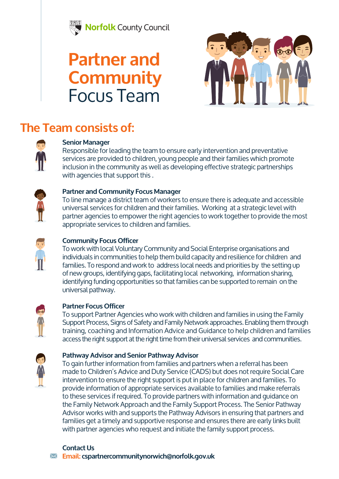

## **Partner and Community**  Focus Team



## **The Team consists of:**



### **Senior Manager**

Responsible for leading the team to ensure early intervention and preventative services are provided to children, young people and their families which promote inclusion in the community as well as developing effective strategic partnerships with agencies that support this .



#### **Partner and Community Focus Manager**

To line manage a district team of workers to ensure there is adequate and accessible universal services for children and their families. Working at a strategic level with partner agencies to empower the right agencies to work together to provide the most appropriate services to children and families.



### **Community Focus Officer**

To work with local Voluntary Community and Social Enterprise organisations and individuals in communities to help them build capacity and resilience for children and families. To respond and work to address local needs and priorities by the setting up of new groups, identifying gaps, facilitating local networking, information sharing, identifying funding opportunities so that families can be supported to remain on the universal pathway.



### **Partner Focus Officer**

To support Partner Agencies who work with children and families in using the Family Support Process, Signs of Safety and Family Network approaches. Enabling them through training, coaching and Information Advice and Guidance to help children and families access the right support at the right time from their universal services and communities.



#### **Pathway Advisor and Senior Pathway Advisor**

To gain further information from families and partners when a referral has been made to Children's Advice and Duty Service (CADS) but does not require Social Care intervention to ensure the right support is put in place for children and families. To provide information of appropriate services available to families and make referrals to these services if required. To provide partners with information and guidance on the Family Network Approach and the Family Support Process. The Senior Pathway Advisor works with and supports the Pathway Advisors in ensuring that partners and families get a timely and supportive response and ensures there are early links built with partner agencies who request and initiate the family support process.

#### **Contact Us**